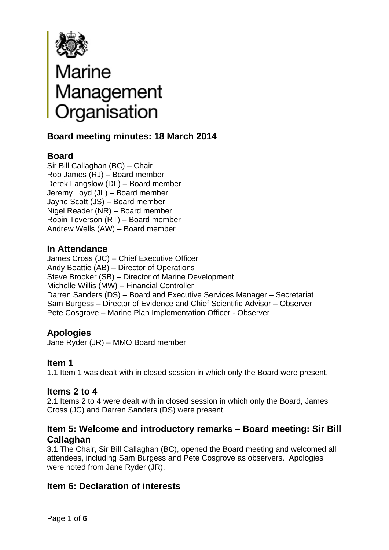

# Marine<br>Management<br>Organisation

# **Board meeting minutes: 18 March 2014**

# **Board**

Sir Bill Callaghan (BC) – Chair Rob James (RJ) – Board member Derek Langslow (DL) – Board member Jeremy Loyd (JL) – Board member Jayne Scott (JS) – Board member Nigel Reader (NR) – Board member Robin Teverson (RT) – Board member Andrew Wells (AW) – Board member

# **In Attendance**

James Cross (JC) – Chief Executive Officer Andy Beattie (AB) – Director of Operations Steve Brooker (SB) – Director of Marine Development Michelle Willis (MW) – Financial Controller Darren Sanders (DS) – Board and Executive Services Manager – Secretariat Sam Burgess – Director of Evidence and Chief Scientific Advisor – Observer Pete Cosgrove – Marine Plan Implementation Officer - Observer

# **Apologies**

Jane Ryder (JR) – MMO Board member

# **Item 1**

1.1 Item 1 was dealt with in closed session in which only the Board were present.

### **Items 2 to 4**

2.1 Items 2 to 4 were dealt with in closed session in which only the Board, James Cross (JC) and Darren Sanders (DS) were present.

# **Item 5: Welcome and introductory remarks – Board meeting: Sir Bill Callaghan**

3.1 The Chair, Sir Bill Callaghan (BC), opened the Board meeting and welcomed all attendees, including Sam Burgess and Pete Cosgrove as observers. Apologies were noted from Jane Ryder (JR).

# **Item 6: Declaration of interests**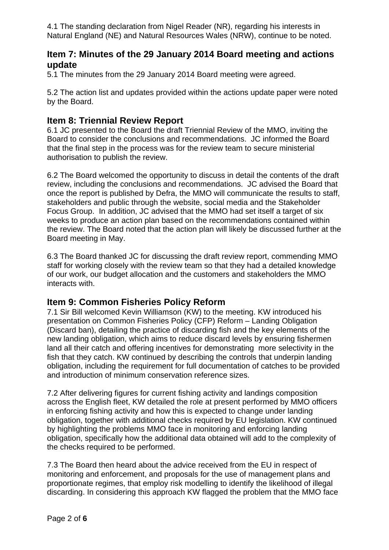4.1 The standing declaration from Nigel Reader (NR), regarding his interests in Natural England (NE) and Natural Resources Wales (NRW), continue to be noted.

# **Item 7: Minutes of the 29 January 2014 Board meeting and actions update**

5.1 The minutes from the 29 January 2014 Board meeting were agreed.

5.2 The action list and updates provided within the actions update paper were noted by the Board.

# **Item 8: Triennial Review Report**

6.1 JC presented to the Board the draft Triennial Review of the MMO, inviting the Board to consider the conclusions and recommendations. JC informed the Board that the final step in the process was for the review team to secure ministerial authorisation to publish the review.

6.2 The Board welcomed the opportunity to discuss in detail the contents of the draft review, including the conclusions and recommendations. JC advised the Board that once the report is published by Defra, the MMO will communicate the results to staff, stakeholders and public through the website, social media and the Stakeholder Focus Group. In addition, JC advised that the MMO had set itself a target of six weeks to produce an action plan based on the recommendations contained within the review. The Board noted that the action plan will likely be discussed further at the Board meeting in May.

6.3 The Board thanked JC for discussing the draft review report, commending MMO staff for working closely with the review team so that they had a detailed knowledge of our work, our budget allocation and the customers and stakeholders the MMO interacts with.

# **Item 9: Common Fisheries Policy Reform**

7.1 Sir Bill welcomed Kevin Williamson (KW) to the meeting. KW introduced his presentation on Common Fisheries Policy (CFP) Reform – Landing Obligation (Discard ban), detailing the practice of discarding fish and the key elements of the new landing obligation, which aims to reduce discard levels by ensuring fishermen land all their catch and offering incentives for demonstrating more selectivity in the fish that they catch. KW continued by describing the controls that underpin landing obligation, including the requirement for full documentation of catches to be provided and introduction of minimum conservation reference sizes.

7.2 After delivering figures for current fishing activity and landings composition across the English fleet, KW detailed the role at present performed by MMO officers in enforcing fishing activity and how this is expected to change under landing obligation, together with additional checks required by EU legislation. KW continued by highlighting the problems MMO face in monitoring and enforcing landing obligation, specifically how the additional data obtained will add to the complexity of the checks required to be performed.

7.3 The Board then heard about the advice received from the EU in respect of monitoring and enforcement, and proposals for the use of management plans and proportionate regimes, that employ risk modelling to identify the likelihood of illegal discarding. In considering this approach KW flagged the problem that the MMO face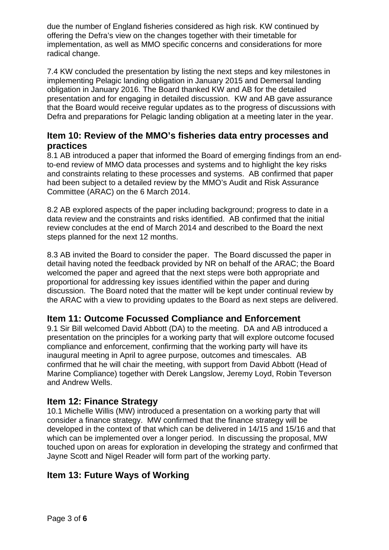due the number of England fisheries considered as high risk. KW continued by offering the Defra's view on the changes together with their timetable for implementation, as well as MMO specific concerns and considerations for more radical change.

7.4 KW concluded the presentation by listing the next steps and key milestones in implementing Pelagic landing obligation in January 2015 and Demersal landing obligation in January 2016. The Board thanked KW and AB for the detailed presentation and for engaging in detailed discussion. KW and AB gave assurance that the Board would receive regular updates as to the progress of discussions with Defra and preparations for Pelagic landing obligation at a meeting later in the year.

# **Item 10: Review of the MMO's fisheries data entry processes and practices**

8.1 AB introduced a paper that informed the Board of emerging findings from an endto-end review of MMO data processes and systems and to highlight the key risks and constraints relating to these processes and systems. AB confirmed that paper had been subject to a detailed review by the MMO's Audit and Risk Assurance Committee (ARAC) on the 6 March 2014.

8.2 AB explored aspects of the paper including background; progress to date in a data review and the constraints and risks identified. AB confirmed that the initial review concludes at the end of March 2014 and described to the Board the next steps planned for the next 12 months.

8.3 AB invited the Board to consider the paper. The Board discussed the paper in detail having noted the feedback provided by NR on behalf of the ARAC; the Board welcomed the paper and agreed that the next steps were both appropriate and proportional for addressing key issues identified within the paper and during discussion. The Board noted that the matter will be kept under continual review by the ARAC with a view to providing updates to the Board as next steps are delivered.

# **Item 11: Outcome Focussed Compliance and Enforcement**

9.1 Sir Bill welcomed David Abbott (DA) to the meeting. DA and AB introduced a presentation on the principles for a working party that will explore outcome focused compliance and enforcement, confirming that the working party will have its inaugural meeting in April to agree purpose, outcomes and timescales. AB confirmed that he will chair the meeting, with support from David Abbott (Head of Marine Compliance) together with Derek Langslow, Jeremy Loyd, Robin Teverson and Andrew Wells.

# **Item 12: Finance Strategy**

10.1 Michelle Willis (MW) introduced a presentation on a working party that will consider a finance strategy. MW confirmed that the finance strategy will be developed in the context of that which can be delivered in 14/15 and 15/16 and that which can be implemented over a longer period. In discussing the proposal, MW touched upon on areas for exploration in developing the strategy and confirmed that Jayne Scott and Nigel Reader will form part of the working party.

# **Item 13: Future Ways of Working**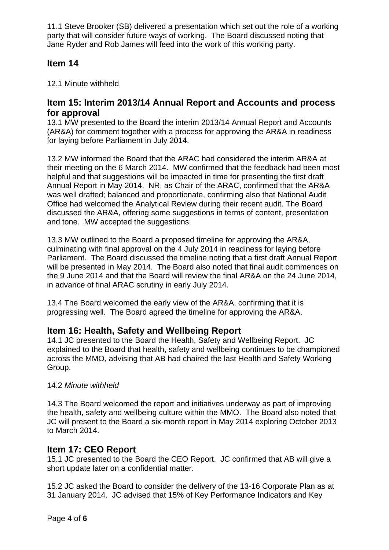11.1 Steve Brooker (SB) delivered a presentation which set out the role of a working party that will consider future ways of working. The Board discussed noting that Jane Ryder and Rob James will feed into the work of this working party.

# **Item 14**

12.1 Minute withheld

## **Item 15: Interim 2013/14 Annual Report and Accounts and process for approval**

13.1 MW presented to the Board the interim 2013/14 Annual Report and Accounts (AR&A) for comment together with a process for approving the AR&A in readiness for laying before Parliament in July 2014.

13.2 MW informed the Board that the ARAC had considered the interim AR&A at their meeting on the 6 March 2014. MW confirmed that the feedback had been most helpful and that suggestions will be impacted in time for presenting the first draft Annual Report in May 2014. NR, as Chair of the ARAC, confirmed that the AR&A was well drafted; balanced and proportionate, confirming also that National Audit Office had welcomed the Analytical Review during their recent audit. The Board discussed the AR&A, offering some suggestions in terms of content, presentation and tone. MW accepted the suggestions.

13.3 MW outlined to the Board a proposed timeline for approving the AR&A, culminating with final approval on the 4 July 2014 in readiness for laying before Parliament. The Board discussed the timeline noting that a first draft Annual Report will be presented in May 2014. The Board also noted that final audit commences on the 9 June 2014 and that the Board will review the final AR&A on the 24 June 2014, in advance of final ARAC scrutiny in early July 2014.

13.4 The Board welcomed the early view of the AR&A, confirming that it is progressing well. The Board agreed the timeline for approving the AR&A.

# **Item 16: Health, Safety and Wellbeing Report**

14.1 JC presented to the Board the Health, Safety and Wellbeing Report. JC explained to the Board that health, safety and wellbeing continues to be championed across the MMO, advising that AB had chaired the last Health and Safety Working Group.

#### 14.2 *Minute withheld*

14.3 The Board welcomed the report and initiatives underway as part of improving the health, safety and wellbeing culture within the MMO. The Board also noted that JC will present to the Board a six-month report in May 2014 exploring October 2013 to March 2014.

### **Item 17: CEO Report**

15.1 JC presented to the Board the CEO Report. JC confirmed that AB will give a short update later on a confidential matter.

15.2 JC asked the Board to consider the delivery of the 13-16 Corporate Plan as at 31 January 2014. JC advised that 15% of Key Performance Indicators and Key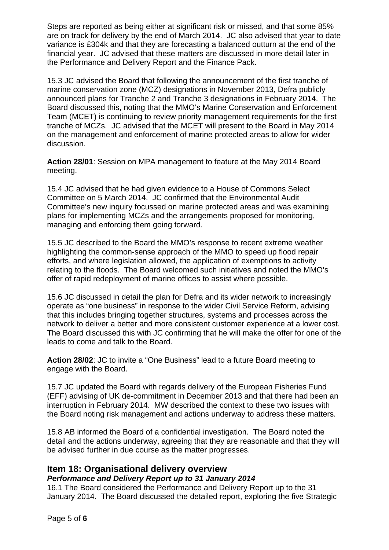Steps are reported as being either at significant risk or missed, and that some 85% are on track for delivery by the end of March 2014. JC also advised that year to date variance is £304k and that they are forecasting a balanced outturn at the end of the financial year. JC advised that these matters are discussed in more detail later in the Performance and Delivery Report and the Finance Pack.

15.3 JC advised the Board that following the announcement of the first tranche of marine conservation zone (MCZ) designations in November 2013, Defra publicly announced plans for Tranche 2 and Tranche 3 designations in February 2014. The Board discussed this, noting that the MMO's Marine Conservation and Enforcement Team (MCET) is continuing to review priority management requirements for the first tranche of MCZs. JC advised that the MCET will present to the Board in May 2014 on the management and enforcement of marine protected areas to allow for wider discussion.

**Action 28/01**: Session on MPA management to feature at the May 2014 Board meeting.

15.4 JC advised that he had given evidence to a House of Commons Select Committee on 5 March 2014. JC confirmed that the Environmental Audit Committee's new inquiry focussed on marine protected areas and was examining plans for implementing MCZs and the arrangements proposed for monitoring, managing and enforcing them going forward.

15.5 JC described to the Board the MMO's response to recent extreme weather highlighting the common-sense approach of the MMO to speed up flood repair efforts, and where legislation allowed, the application of exemptions to activity relating to the floods. The Board welcomed such initiatives and noted the MMO's offer of rapid redeployment of marine offices to assist where possible.

15.6 JC discussed in detail the plan for Defra and its wider network to increasingly operate as "one business" in response to the wider Civil Service Reform, advising that this includes bringing together structures, systems and processes across the network to deliver a better and more consistent customer experience at a lower cost. The Board discussed this with JC confirming that he will make the offer for one of the leads to come and talk to the Board.

**Action 28/02**: JC to invite a "One Business" lead to a future Board meeting to engage with the Board.

15.7 JC updated the Board with regards delivery of the European Fisheries Fund (EFF) advising of UK de-commitment in December 2013 and that there had been an interruption in February 2014. MW described the context to these two issues with the Board noting risk management and actions underway to address these matters.

15.8 AB informed the Board of a confidential investigation. The Board noted the detail and the actions underway, agreeing that they are reasonable and that they will be advised further in due course as the matter progresses.

# **Item 18: Organisational delivery overview**

#### *Performance and Delivery Report up to 31 January 2014*

16.1 The Board considered the Performance and Delivery Report up to the 31 January 2014. The Board discussed the detailed report, exploring the five Strategic